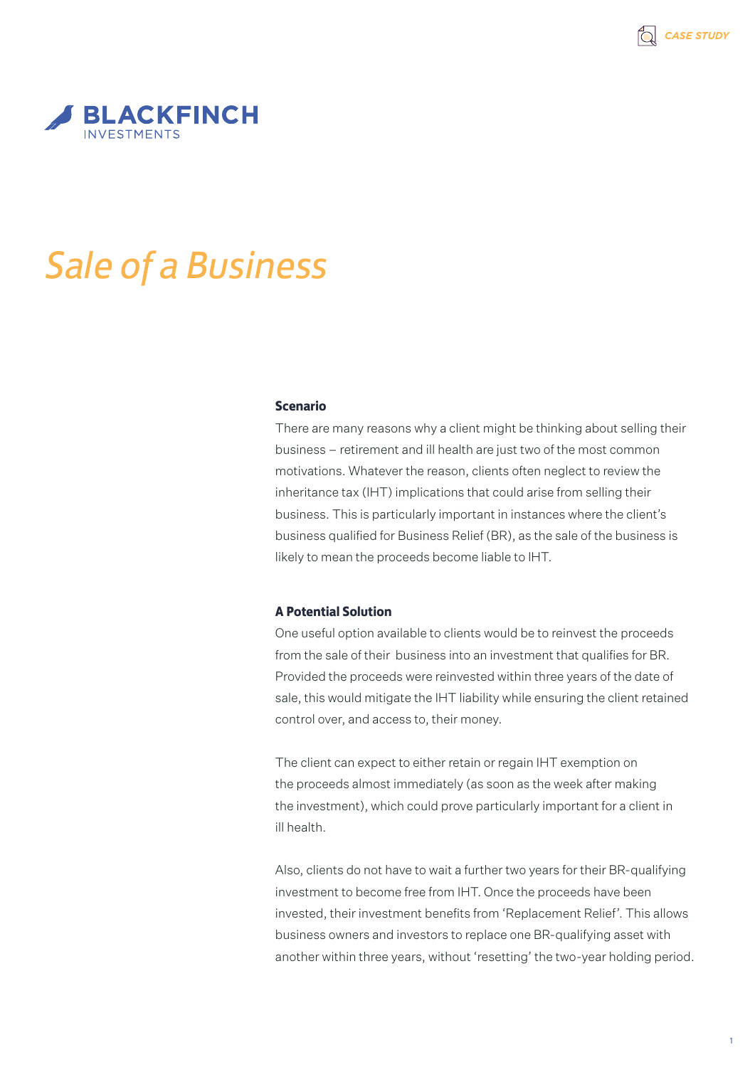

# *Sale of a Business*

#### **Scenario**

There are many reasons why a client might be thinking about selling their business – retirement and ill health are just two of the most common motivations. Whatever the reason, clients often neglect to review the inheritance tax (IHT) implications that could arise from selling their business. This is particularly important in instances where the client's business qualified for Business Relief (BR), as the sale of the business is likely to mean the proceeds become liable to IHT.

### **A Potential Solution**

One useful option available to clients would be to reinvest the proceeds from the sale of their business into an investment that qualifies for BR. Provided the proceeds were reinvested within three years of the date of sale, this would mitigate the IHT liability while ensuring the client retained control over, and access to, their money.

The client can expect to either retain or regain IHT exemption on the proceeds almost immediately (as soon as the week after making the investment), which could prove particularly important for a client in ill health.

Also, clients do not have to wait a further two years for their BR-qualifying investment to become free from IHT. Once the proceeds have been invested, their investment benefits from 'Replacement Relief'. This allows business owners and investors to replace one BR-qualifying asset with another within three years, without 'resetting' the two-year holding period.